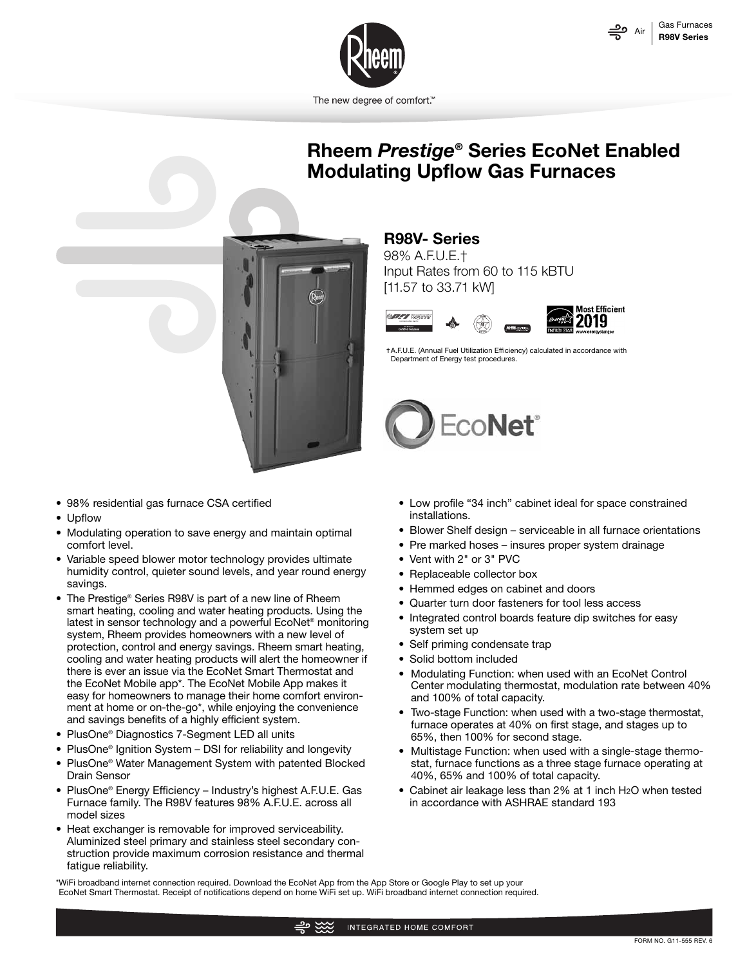

The new degree of comfort.™

### **Rheem** *Prestige®* **Series EcoNet Enabled Modulating Upflow Gas Furnaces**



• 98% residential gas furnace CSA certified

- Upflow
- Modulating operation to save energy and maintain optimal comfort level.
- Variable speed blower motor technology provides ultimate humidity control, quieter sound levels, and year round energy savings.
- The Prestige® Series R98V is part of a new line of Rheem smart heating, cooling and water heating products. Using the latest in sensor technology and a powerful EcoNet<sup>®</sup> monitoring system, Rheem provides homeowners with a new level of protection, control and energy savings. Rheem smart heating, cooling and water heating products will alert the homeowner if there is ever an issue via the EcoNet Smart Thermostat and the EcoNet Mobile app\*. The EcoNet Mobile App makes it easy for homeowners to manage their home comfort environment at home or on-the-go\*, while enjoying the convenience and savings benefits of a highly efficient system.
- PlusOne® Diagnostics 7-Segment LED all units
- PlusOne<sup>®</sup> Ignition System DSI for reliability and longevity
- PlusOne® Water Management System with patented Blocked Drain Sensor
- PlusOne® Energy Efficiency Industry's highest A.F.U.E. Gas Furnace family. The R98V features 98% A.F.U.E. across all model sizes
- Heat exchanger is removable for improved serviceability. Aluminized steel primary and stainless steel secondary construction provide maximum corrosion resistance and thermal fatigue reliability.

**R98V- Series**

98% A.F.U.E.† Input Rates from 60 to 115 kBTU [11.57 to 33.71 kW]



✝A.F.U.E. (Annual Fuel Utilization Efficiency) calculated in accordance with Department of Energy test procedures.



- Low profile "34 inch" cabinet ideal for space constrained installations.
- Blower Shelf design serviceable in all furnace orientations
- Pre marked hoses insures proper system drainage
- Vent with 2" or 3" PVC
- Replaceable collector box
- Hemmed edges on cabinet and doors
- Quarter turn door fasteners for tool less access
- Integrated control boards feature dip switches for easy system set up
- Self priming condensate trap
- Solid bottom included
- Modulating Function: when used with an EcoNet Control Center modulating thermostat, modulation rate between 40% and 100% of total capacity.
- Two-stage Function: when used with a two-stage thermostat, furnace operates at 40% on first stage, and stages up to 65%, then 100% for second stage.
- Multistage Function: when used with a single-stage thermostat, furnace functions as a three stage furnace operating at 40%, 65% and 100% of total capacity.
- Cabinet air leakage less than 2% at 1 inch H2O when tested in accordance with ASHRAE standard 193

\*WiFi broadband internet connection required. Download the EcoNet App from the App Store or Google Play to set up your EcoNet Smart Thermostat. Receipt of notifications depend on home WiFi set up. WiFi broadband internet connection required.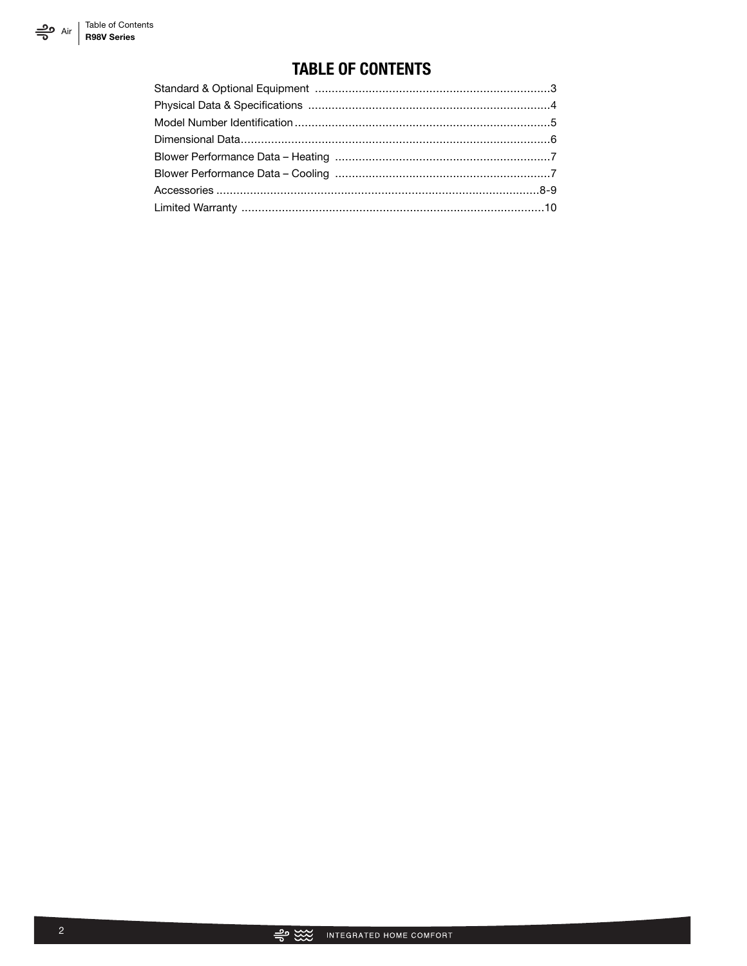### **TABLE OF CONTENTS**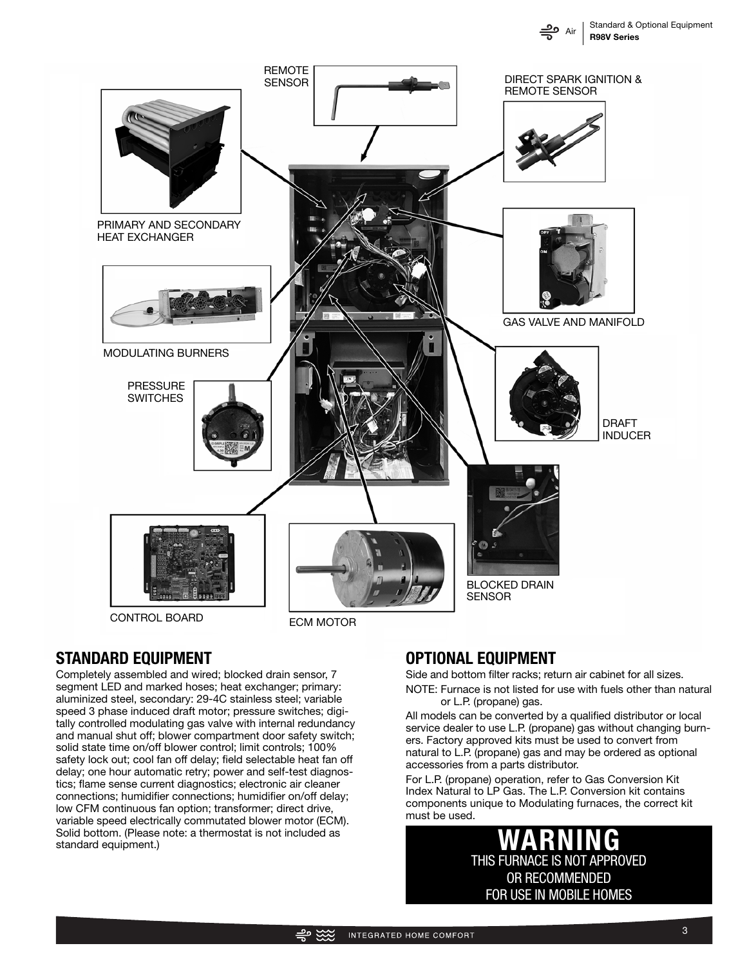

### **STANDARD EQUIPMENT**

Completely assembled and wired; blocked drain sensor, 7 segment LED and marked hoses; heat exchanger; primary: aluminized steel, secondary: 29-4C stainless steel; variable speed 3 phase induced draft motor; pressure switches; digitally controlled modulating gas valve with internal redundancy and manual shut off; blower compartment door safety switch; solid state time on/off blower control; limit controls; 100% safety lock out; cool fan off delay; field selectable heat fan off delay; one hour automatic retry; power and self-test diagnostics; flame sense current diagnostics; electronic air cleaner connections; humidifier connections; humidifier on/off delay; low CFM continuous fan option; transformer; direct drive, variable speed electrically commutated blower motor (ECM). Solid bottom. (Please note: a thermostat is not included as standard equipment.)

### **OPTIONAL EQUIPMENT**

Side and bottom filter racks; return air cabinet for all sizes.

NOTE: Furnace is not listed for use with fuels other than natural or L.P. (propane) gas.

All models can be converted by a qualified distributor or local service dealer to use L.P. (propane) gas without changing burners. Factory approved kits must be used to convert from natural to L.P. (propane) gas and may be ordered as optional accessories from a parts distributor.

For L.P. (propane) operation, refer to Gas Conversion Kit Index Natural to LP Gas. The L.P. Conversion kit contains components unique to Modulating furnaces, the correct kit must be used.

### **WARNING** THIS FURNACE IS NOT APPROVED OR RECOMMENDED FOR USE IN MOBILE HOMES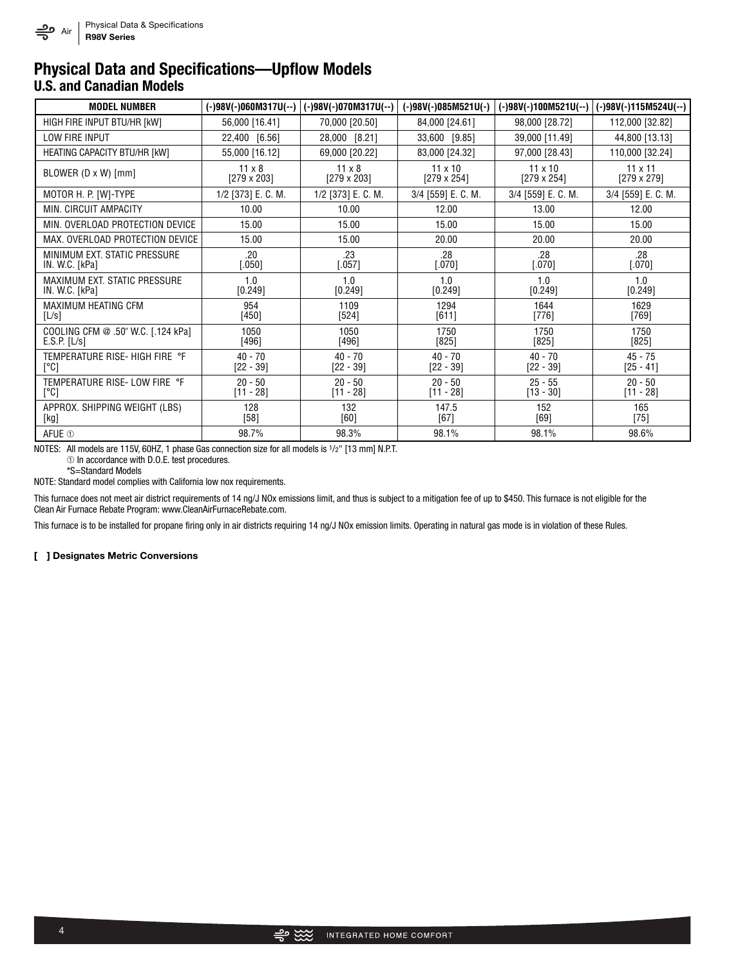# **Physical Data and Specifications—Upflow Models**

### **U.S. and Canadian Models**

| <b>MODEL NUMBER</b>                                  | $(-)98V(-)060M317U(-)$              | $(-)98V(-)070M317U(-)$              | $(-)98V(-)085M521U(-)$               |                                      | $(-)98V(-)100M521U(-))$ (-)98V(-)115M524U(--) |
|------------------------------------------------------|-------------------------------------|-------------------------------------|--------------------------------------|--------------------------------------|-----------------------------------------------|
| HIGH FIRE INPUT BTU/HR [kW]                          | 56,000 [16.41]                      | 70,000 [20.50]                      | 84,000 [24.61]                       | 98,000 [28.72]                       | 112,000 [32.82]                               |
| LOW FIRE INPUT                                       | 22,400 [6.56]                       | 28,000 [8.21]                       | 33,600 [9.85]                        | 39,000 [11.49]                       | 44,800 [13.13]                                |
| HEATING CAPACITY BTU/HR [kW]                         | 55,000 [16.12]                      | 69,000 [20.22]                      | 83,000 [24.32]                       | 97,000 [28.43]                       | 110,000 [32.24]                               |
| BLOWER (D x W) [mm]                                  | $11 \times 8$<br>$[279 \times 203]$ | $11 \times 8$<br>$[279 \times 203]$ | $11 \times 10$<br>$[279 \times 254]$ | $11 \times 10$<br>$[279 \times 254]$ | $11 \times 11$<br>$[279 \times 279]$          |
| MOTOR H. P. [W]-TYPE                                 | 1/2 [373] E. C. M.                  | 1/2 [373] E. C. M.                  | 3/4 [559] E. C. M.                   | 3/4 [559] E. C. M.                   | 3/4 [559] E. C. M.                            |
| MIN. CIRCUIT AMPACITY                                | 10.00                               | 10.00                               | 12.00                                | 13.00                                | 12.00                                         |
| MIN. OVERLOAD PROTECTION DEVICE                      | 15.00                               | 15.00                               | 15.00                                | 15.00                                | 15.00                                         |
| MAX. OVERLOAD PROTECTION DEVICE                      | 15.00                               | 15.00                               | 20.00                                | 20.00                                | 20.00                                         |
| MINIMUM EXT. STATIC PRESSURE<br>IN. W.C. [kPa]       | .20<br>[.050]                       | .23<br>[.057]                       | .28<br>[.070]                        | .28<br>[.070]                        | .28<br>[.070]                                 |
| MAXIMUM EXT. STATIC PRESSURE<br>IN. W.C. [kPa]       | 1.0<br>[0.249]                      | 1.0<br>[0.249]                      | 1.0<br>[0.249]                       | 1.0<br>[0.249]                       | 1.0<br>$[0.249]$                              |
| MAXIMUM HEATING CFM<br>[L/s]                         | 954<br>$[450]$                      | 1109<br>[524]                       | 1294<br>[611]                        | 1644<br>$[776]$                      | 1629<br>$[769]$                               |
| COOLING CFM @ .50" W.C. [.124 kPa]<br>E.S.P. $[L/s]$ | 1050<br>[496]                       | 1050<br>[496]                       | 1750<br>[825]                        | 1750<br>$[825]$                      | 1750<br>$[825]$                               |
| TEMPERATURE RISE- HIGH FIRE °F<br>[°C]               | $40 - 70$<br>$[22 - 39]$            | $40 - 70$<br>$[22 - 39]$            | $40 - 70$<br>$[22 - 39]$             | $40 - 70$<br>$[22 - 39]$             | $45 - 75$<br>$[25 - 41]$                      |
| TEMPERATURE RISE- LOW FIRE °F<br>[°C]                | $20 - 50$<br>$[11 - 28]$            | $20 - 50$<br>$[11 - 28]$            | $20 - 50$<br>$[11 - 28]$             | $25 - 55$<br>$[13 - 30]$             | $20 - 50$<br>$[11 - 28]$                      |
| APPROX. SHIPPING WEIGHT (LBS)<br>[kg]                | 128<br>[58]                         | 132<br>[60]                         | 147.5<br>$[67]$                      | 152<br>[69]                          | 165<br>$[75]$                                 |
| AFUE 1                                               | 98.7%                               | 98.3%                               | 98.1%                                | 98.1%                                | 98.6%                                         |

NOTES: All models are 115V, 60HZ, 1 phase Gas connection size for all models is 1/2" [13 mm] N.P.T.

➀ In accordance with D.O.E. test procedures.

\*S=Standard Models

NOTE: Standard model complies with California low nox requirements.

This furnace does not meet air district requirements of 14 ng/J NOx emissions limit, and thus is subject to a mitigation fee of up to \$450. This furnace is not eligible for the Clean Air Furnace Rebate Program: www.CleanAirFurnaceRebate.com.

This furnace is to be installed for propane firing only in air districts requiring 14 ng/J NOx emission limits. Operating in natural gas mode is in violation of these Rules.

#### **[ ] Designates Metric Conversions**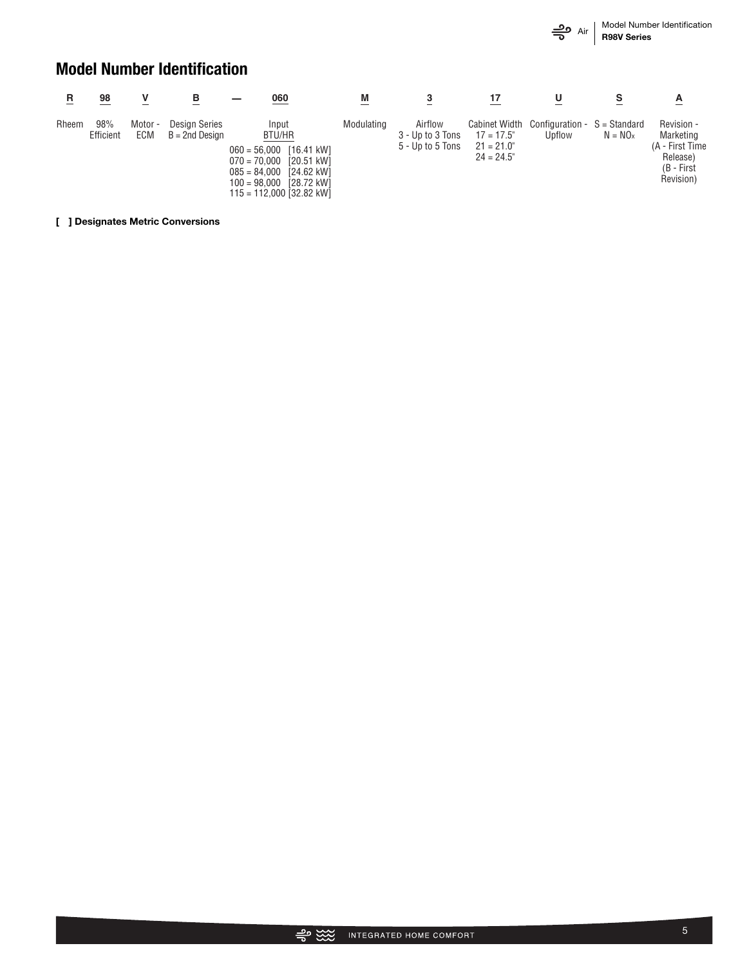### **Model Number Identification**

| R     | 98               | ٧              | в                                        | 060                                                                                                                                                                        | M          | 3                                               | 17                                                                     | u                                        | s               | $\overline{a}$                                                                       |
|-------|------------------|----------------|------------------------------------------|----------------------------------------------------------------------------------------------------------------------------------------------------------------------------|------------|-------------------------------------------------|------------------------------------------------------------------------|------------------------------------------|-----------------|--------------------------------------------------------------------------------------|
| Rheem | 98%<br>Efficient | Motor -<br>ECM | <b>Design Series</b><br>$B = 2nd$ Desian | Input<br>BTU/HR<br>$060 = 56,000$<br>[16.41 kW]<br>$070 = 70,000$<br>[20.51 kW]<br>$085 = 84,000$ [24.62 kW]<br>[28.72 kW]<br>$100 = 98,000$<br>$115 = 112,000$ [32.82 kW] | Modulating | Airflow<br>3 - Up to 3 Tons<br>5 - Up to 5 Tons | <b>Cabinet Width</b><br>$17 = 17.5$ "<br>$21 = 21.0$ "<br>$24 = 24.5"$ | Configuration - $S =$ Standard<br>Upflow | $N = NO \times$ | Revision -<br>Marketing<br>(A - First Time<br>Release)<br>$(B - First)$<br>Revision) |

#### **[ ] Designates Metric Conversions**

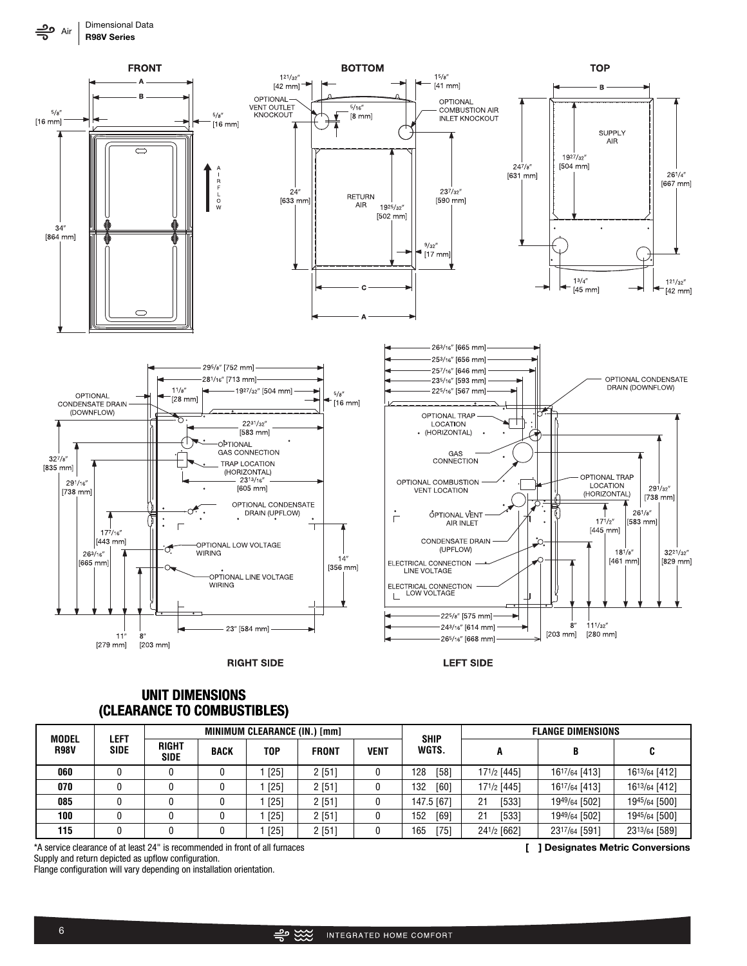

#### **UNIT DIMENSIONS (CLEARANCE TO COMBUSTIBLES)**

| <b>MODEL</b> | LEFT        |                      | MINIMUM CLEARANCE (IN.) [mm] |        |              |             |                      | <b>FLANGE DIMENSIONS</b> |               |               |  |
|--------------|-------------|----------------------|------------------------------|--------|--------------|-------------|----------------------|--------------------------|---------------|---------------|--|
| <b>R98V</b>  | <b>SIDE</b> | <b>RIGHT</b><br>SIDE | <b>BACK</b>                  | TOP    | <b>FRONT</b> | <b>VENT</b> | <b>SHIP</b><br>WGTS. |                          | B             |               |  |
| 060          |             |                      |                              | $[25]$ | 2[51]        |             | [58]<br>128          | 171/2 [445]              | 1617/64 [413] | 1613/64 [412] |  |
| 070          |             |                      |                              | [25]   | 2[51]        |             | [60]<br>132          | 171/2 [445]              | 1617/64 [413] | 1613/64 [412] |  |
| 085          |             |                      |                              | [25]   | 2[51]        |             | 147.5 [67]           | [533]<br>21              | 1949/64 [502] | 1945/64 [500] |  |
| 100          |             |                      |                              | [25]   | 2[51]        |             | [69]<br>152          | 21<br>[533]              | 1949/64 [502] | 1945/64 [500] |  |
| 115          |             |                      |                              | [25]   | 2[51]        |             | [75]<br>165          | 241/2 [662]              | 2317/64 [591] | 2313/64 [589] |  |

\*A service clearance of at least 24" is recommended in front of all furnaces **[ ] Designates Metric Conversions**

Supply and return depicted as upflow configuration.

Flange configuration will vary depending on installation orientation.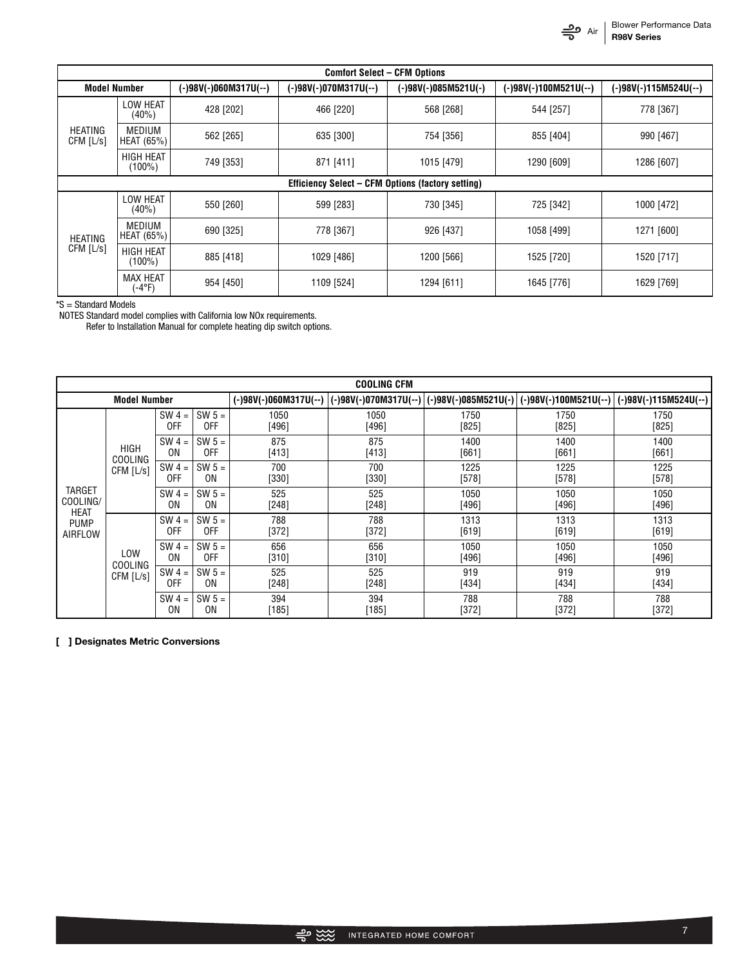| Air |
|-----|
|     |

| <b>Comfort Select - CFM Options</b> |                               |                         |                                                   |                      |                         |                       |  |  |  |
|-------------------------------------|-------------------------------|-------------------------|---------------------------------------------------|----------------------|-------------------------|-----------------------|--|--|--|
| <b>Model Number</b>                 |                               | $(-)98V(-)060M317U(-))$ | (-)98V(-)070M317U(--)                             | (-)98V(-)085M521U(-) | $(-)98V(-)100M521U(-))$ | (-)98V(-)115M524U(--) |  |  |  |
|                                     | LOW HEAT<br>(40%)             | 428 [202]               | 466 [220]                                         | 568 [268]            | 544 [257]               | 778 [367]             |  |  |  |
| <b>HEATING</b><br>CFM [L/s]         | MEDIUM<br>HEAT (65%)          | 562 [265]               | 635 [300]                                         | 754 [356]            | 855 [404]               | 990 [467]             |  |  |  |
|                                     | <b>HIGH HEAT</b><br>$(100\%)$ | 749 [353]               | 871 [411]                                         | 1015 [479]           | 1290 [609]              | 1286 [607]            |  |  |  |
|                                     |                               |                         | Efficiency Select - CFM Options (factory setting) |                      |                         |                       |  |  |  |
|                                     | LOW HEAT<br>(40%)             | 550 [260]               | 599 [283]                                         | 730 [345]            | 725 [342]               | 1000 [472]            |  |  |  |
| <b>HEATING</b>                      | MEDIUM<br>HEAT (65%)          | 690 [325]               | 778 [367]                                         | 926 [437]            | 1058 [499]              | 1271 [600]            |  |  |  |
| CFM [L/s]                           | HIGH HEAT<br>$(100\%)$        | 885 [418]               | 1029 [486]                                        | 1200 [566]           | 1525 [720]              | 1520 [717]            |  |  |  |
|                                     | MAX HEAT<br>(-4°F)            | 954 [450]               | 1109 [524]                                        | 1294 [611]           | 1645 [776]              | 1629 [769]            |  |  |  |

\*S = Standard Models

NOTES Standard model complies with California low NOx requirements.

Refer to Installation Manual for complete heating dip switch options.

| <b>COOLING CFM</b>                |                               |                            |                            |                |                 |                 |                 |                                                                                                                  |  |
|-----------------------------------|-------------------------------|----------------------------|----------------------------|----------------|-----------------|-----------------|-----------------|------------------------------------------------------------------------------------------------------------------|--|
|                                   | <b>Model Number</b>           |                            |                            |                |                 |                 |                 | (-)98V(-)060M317U(--)  (-)98V(-)070M317U(--)  (-)98V(-)085M521U(-)  (-)98V(-)100M521U(--)  (-)98V(-)115M524U(--) |  |
|                                   |                               | $SW 4 =$<br>0FF            | $SW 5 =$<br>0FF            | 1050<br>[496]  | 1050<br>$[496]$ | 1750<br>$[825]$ | 1750<br>[825]   | 1750<br>$[825]$                                                                                                  |  |
|                                   | <b>HIGH</b><br><b>COOLING</b> | $SW 4 =$<br>0 <sub>N</sub> | $SW 5 =$<br>0FF            | 875<br>$[413]$ | 875<br>$[413]$  | 1400<br>[661]   | 1400<br>$[661]$ | 1400<br>[661]                                                                                                    |  |
|                                   | CFM [L/s]                     | $SW 4 =$<br>0FF            | $SW 5 =$<br>0N             | 700<br>$[330]$ | 700<br>$[330]$  | 1225<br>$[578]$ | 1225<br>[578]   | 1225<br>$[578]$                                                                                                  |  |
| TARGET<br>COOLING/<br><b>HEAT</b> |                               | $SW 4 =$<br>0 <sub>N</sub> | $SW 5 =$<br>0N             | 525<br>$[248]$ | 525<br>[248]    | 1050<br>$[496]$ | 1050<br>$[496]$ | 1050<br>$[496]$                                                                                                  |  |
| <b>PUMP</b><br>AIRFLOW            |                               | $SW 4 =$<br>0FF            | $SW 5 =$<br>0FF            | 788<br>$[372]$ | 788<br>$[372]$  | 1313<br>$[619]$ | 1313<br>$[619]$ | 1313<br>$[619]$                                                                                                  |  |
|                                   | LOW<br>COOLING                | $SW 4 =$<br>0 <sub>N</sub> | $SW 5 =$<br>0FF            | 656<br>[310]   | 656<br>[310]    | 1050<br>[496]   | 1050<br>[496]   | 1050<br>$[496]$                                                                                                  |  |
|                                   | CFM [L/s]                     | $SW 4 =$<br>0FF            | $SW 5 =$<br>0N             | 525<br>$[248]$ | 525<br>[248]    | 919<br>[434]    | 919<br>[434]    | 919<br>[434]                                                                                                     |  |
|                                   |                               | $SW 4 =$<br>0 <sub>N</sub> | $SW 5 =$<br>0 <sub>N</sub> | 394<br>[185]   | 394<br>[185]    | 788<br>$[372]$  | 788<br>[372]    | 788<br>$[372]$                                                                                                   |  |

**[ ] Designates Metric Conversions**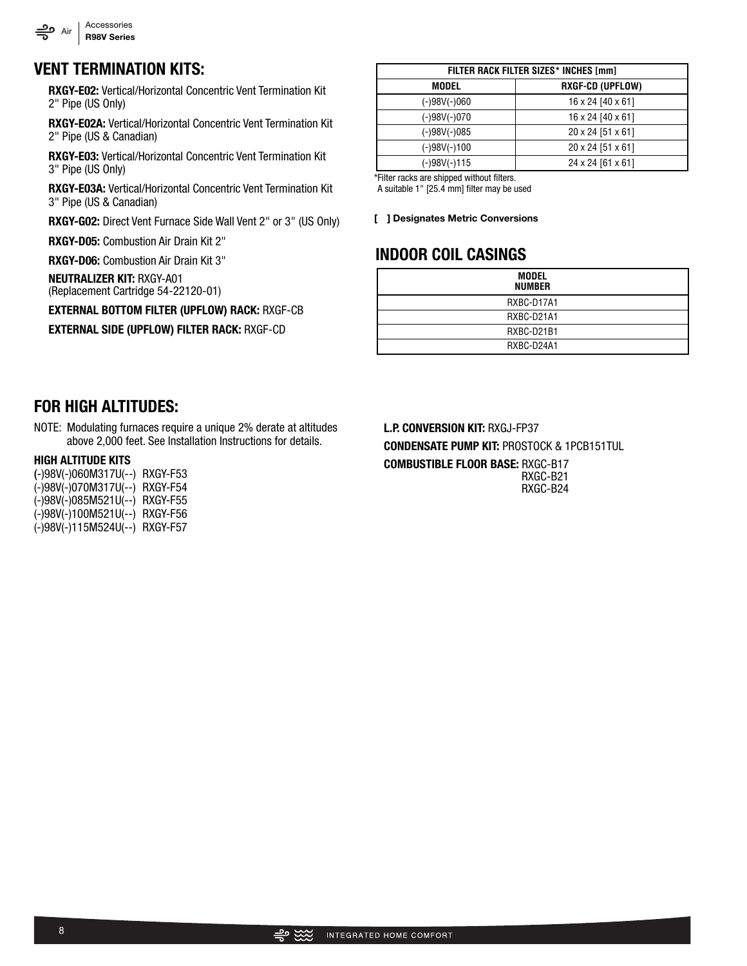

### **VENT TERMINATION KITS:**

**RXGY-E02:** Vertical/Horizontal Concentric Vent Termination Kit 2" Pipe (US Only)

**RXGY-E02A:** Vertical/Horizontal Concentric Vent Termination Kit 2" Pipe (US & Canadian)

**RXGY-E03:** Vertical/Horizontal Concentric Vent Termination Kit 3" Pipe (US Only)

**RXGY-E03A:** Vertical/Horizontal Concentric Vent Termination Kit 3" Pipe (US & Canadian)

**RXGY-G02:** Direct Vent Furnace Side Wall Vent 2" or 3" (US Only)

**RXGY-D05:** Combustion Air Drain Kit 2"

**RXGY-D06:** Combustion Air Drain Kit 3"

**NEUTRALIZER KIT:** RXGY-A01 (Replacement Cartridge 54-22120-01)

**EXTERNAL BOTTOM FILTER (UPFLOW) RACK:** RXGF-CB

**EXTERNAL SIDE (UPFLOW) FILTER RACK:** RXGF-CD

| FILTER RACK FILTER SIZES* INCHES [mm] |                                 |  |  |  |  |  |
|---------------------------------------|---------------------------------|--|--|--|--|--|
| MODEL                                 | RXGF-CD (UPFLOW)                |  |  |  |  |  |
| $(-)98V(-)060$                        | $16 \times 24$ [40 $\times$ 61] |  |  |  |  |  |
| $(-)98V(-)070$                        | $16 \times 24$ [40 $\times$ 61] |  |  |  |  |  |
| $(-)98V(-)085$                        | 20 x 24 [51 x 61]               |  |  |  |  |  |
| $(-)98V(-)100$                        | $20 \times 24$ [51 $\times$ 61] |  |  |  |  |  |
| (-)98V(-)115                          | 24 x 24 [61 x 61]               |  |  |  |  |  |

\*Filter racks are shipped without filters.

A suitable 1" [25.4 mm] filter may be used

#### **[ ] Designates Metric Conversions**

### **INDOOR COIL CASINGS**

| <b>MODEL</b><br><b>NUMBER</b> |
|-------------------------------|
| RXBC-D17A1                    |
| RXBC-D21A1                    |
| RXBC-D21B1                    |
| RXBC-D24A1                    |

### **FOR HIGH ALTITUDES:**

NOTE: Modulating furnaces require a unique 2% derate at altitudes above 2,000 feet. See Installation Instructions for details.

#### **HIGH ALTITUDE KITS**

| (-)98V(-)060M317U(--) | RXGY-F53 |
|-----------------------|----------|
| (-)98V(-)070M317U(--) | RXGY-F54 |
| (-)98V(-)085M521U(--) | RXGY-F55 |
| (-)98V(-)100M521U(--) | RXGY-F56 |
| (-)98V(-)115M524U(--) | RXGY-F57 |

#### **L.P. CONVERSION KIT:** RXGJ-FP37

**CONDENSATE PUMP KIT:** PROSTOCK & 1PCB151TUL

**COMBUSTIBLE FLOOR BASE:** RXGC-B17 RXGC-B21 RXGC-B24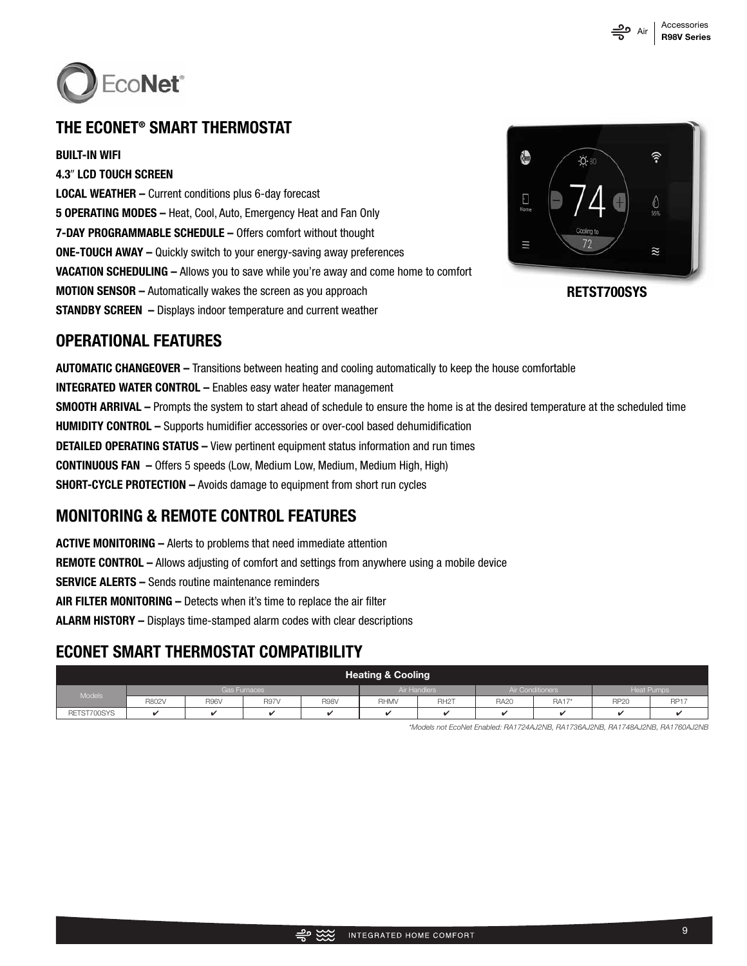



### **THE ECONET® SMART THERMOSTAT**

**BUILT-IN WIFI 4.3**- **LCD TOUCH SCREEN LOCAL WEATHER –** Current conditions plus 6-day forecast **5 OPERATING MODES –** Heat, Cool, Auto, Emergency Heat and Fan Only **7-DAY PROGRAMMABLE SCHEDULE –** Offers comfort without thought **ONE-TOUCH AWAY –** Quickly switch to your energy-saving away preferences **VACATION SCHEDULING –** Allows you to save while you're away and come home to comfort **MOTION SENSOR –** Automatically wakes the screen as you approach **STANDBY SCREEN –** Displays indoor temperature and current weather

### **OPERATIONAL FEATURES**

**AUTOMATIC CHANGEOVER –** Transitions between heating and cooling automatically to keep the house comfortable **INTEGRATED WATER CONTROL –** Enables easy water heater management **SMOOTH ARRIVAL –** Prompts the system to start ahead of schedule to ensure the home is at the desired temperature at the scheduled time **HUMIDITY CONTROL –** Supports humidifier accessories or over-cool based dehumidification **DETAILED OPERATING STATUS –** View pertinent equipment status information and run times **CONTINUOUS FAN –** Offers 5 speeds (Low, Medium Low, Medium, Medium High, High) **SHORT-CYCLE PROTECTION –** Avoids damage to equipment from short run cycles

### **MONITORING & REMOTE CONTROL FEATURES**

**ACTIVE MONITORING –** Alerts to problems that need immediate attention

**REMOTE CONTROL –** Allows adjusting of comfort and settings from anywhere using a mobile device

**SERVICE ALERTS –** Sends routine maintenance reminders

**AIR FILTER MONITORING –** Detects when it's time to replace the air filter

**ALARM HISTORY –** Displays time-stamped alarm codes with clear descriptions

### **ECONET SMART THERMOSTAT COMPATIBILITY**

| <b>Heating &amp; Cooling</b> |              |             |             |              |             |                         |             |            |             |             |
|------------------------------|--------------|-------------|-------------|--------------|-------------|-------------------------|-------------|------------|-------------|-------------|
| <b>Models</b>                | Gas Furnaces |             |             | Air Handlers |             | <b>Air Conditioners</b> |             | Heat Pumps |             |             |
|                              | R802V        | <b>R96V</b> | <b>R97V</b> | <b>R98V</b>  | <b>RHMV</b> | RH <sub>2</sub> T       | <b>RA20</b> | RA17*      | <b>RP20</b> | <b>RP17</b> |
| RETST700SYS                  |              |             |             |              |             |                         |             |            |             |             |

*\*Models not EcoNet Enabled: RA1724AJ2NB, RA1736AJ2NB, RA1748AJ2NB, RA1760AJ2NB*



**RETST700SYS**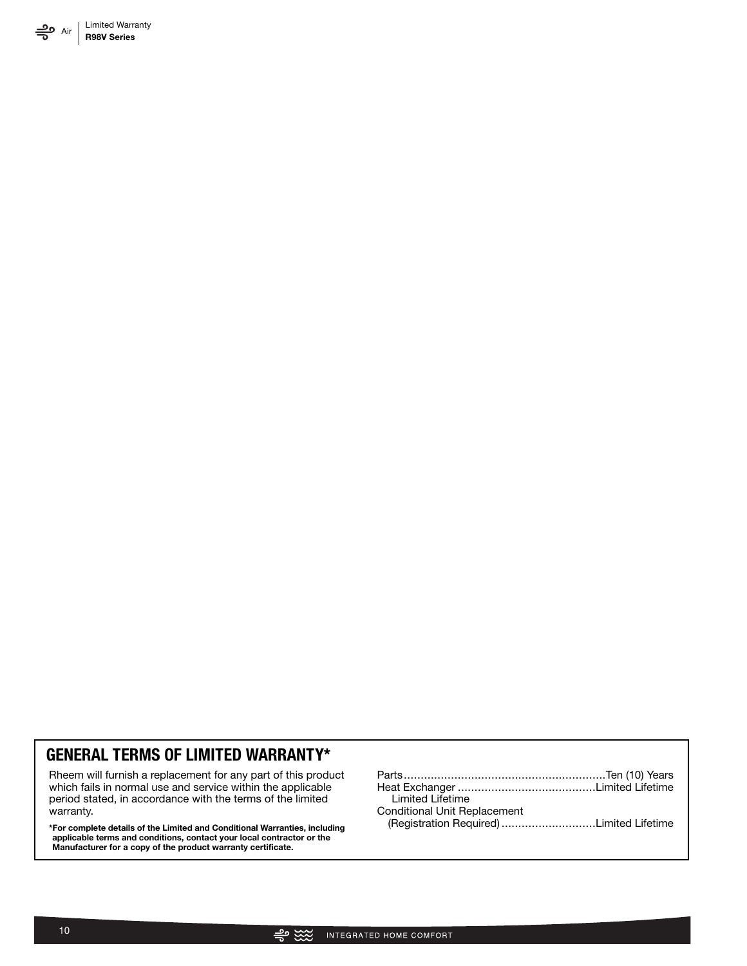

## **GENERAL TERMS OF LIMITED WARRANTY\***

Rheem will furnish a replacement for any part of this product which fails in normal use and service within the applicable period stated, in accordance with the terms of the limited warranty.

**\*For complete details of the Limited and Conditional Warranties, including applicable terms and conditions, contact your local contractor or the Manufacturer for a copy of the product warranty certificate.**

| Limited Lifetime                         |  |
|------------------------------------------|--|
| Conditional Unit Replacement             |  |
| (Registration Required) Limited Lifetime |  |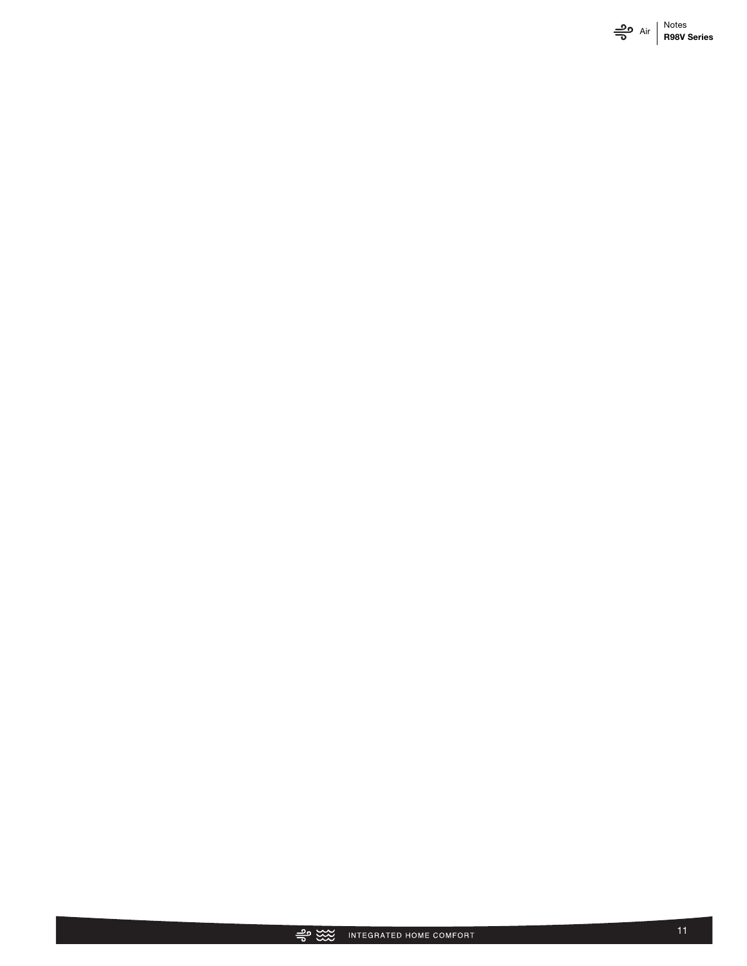